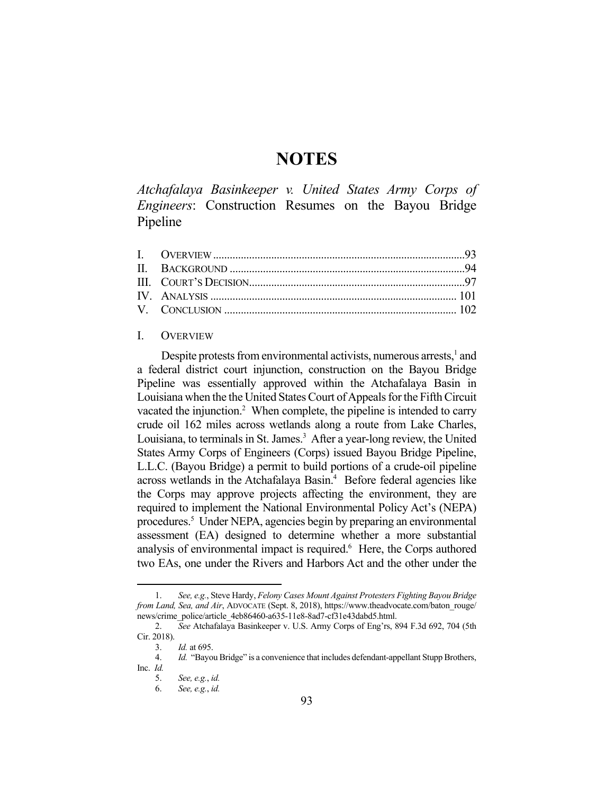# **NOTES**

*Atchafalaya Basinkeeper v. United States Army Corps of Engineers*: Construction Resumes on the Bayou Bridge Pipeline

# I. OVERVIEW

Despite protests from environmental activists, numerous arrests, $<sup>1</sup>$  and</sup> a federal district court injunction, construction on the Bayou Bridge Pipeline was essentially approved within the Atchafalaya Basin in Louisiana when the the United States Court of Appeals for the Fifth Circuit vacated the injunction.<sup>2</sup> When complete, the pipeline is intended to carry crude oil 162 miles across wetlands along a route from Lake Charles, Louisiana, to terminals in St. James.<sup>3</sup> After a year-long review, the United States Army Corps of Engineers (Corps) issued Bayou Bridge Pipeline, L.L.C. (Bayou Bridge) a permit to build portions of a crude-oil pipeline across wetlands in the Atchafalaya Basin.<sup>4</sup> Before federal agencies like the Corps may approve projects affecting the environment, they are required to implement the National Environmental Policy Act's (NEPA) procedures.<sup>5</sup> Under NEPA, agencies begin by preparing an environmental assessment (EA) designed to determine whether a more substantial analysis of environmental impact is required.<sup>6</sup> Here, the Corps authored two EAs, one under the Rivers and Harbors Act and the other under the

<u>.</u>

 <sup>1.</sup> *See, e.g.*, Steve Hardy, *Felony Cases Mount Against Protesters Fighting Bayou Bridge from Land, Sea, and Air, ADVOCATE (Sept. 8, 2018), https://www.theadvocate.com/baton\_rouge/* news/crime\_police/article\_4eb86460-a635-11e8-8ad7-cf31e43dabd5.html.

 <sup>2.</sup> *See* Atchafalaya Basinkeeper v. U.S. Army Corps of Eng'rs, 894 F.3d 692, 704 (5th Cir. 2018).

 <sup>3.</sup> *Id.* at 695.

 <sup>4.</sup> *Id.* "Bayou Bridge" is a convenience that includes defendant-appellant Stupp Brothers, Inc. *Id.*

 <sup>5.</sup> *See, e.g.*, *id.* 

 <sup>6.</sup> *See, e.g.*, *id.*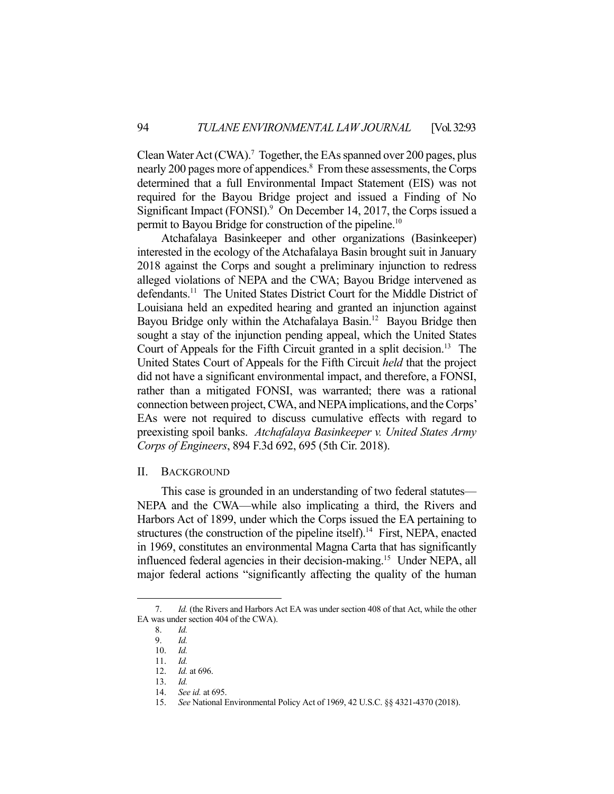Clean Water Act (CWA).<sup>7</sup> Together, the EAs spanned over 200 pages, plus nearly 200 pages more of appendices.<sup>8</sup> From these assessments, the Corps determined that a full Environmental Impact Statement (EIS) was not required for the Bayou Bridge project and issued a Finding of No Significant Impact (FONSI).<sup>9</sup> On December 14, 2017, the Corps issued a permit to Bayou Bridge for construction of the pipeline.10

 Atchafalaya Basinkeeper and other organizations (Basinkeeper) interested in the ecology of the Atchafalaya Basin brought suit in January 2018 against the Corps and sought a preliminary injunction to redress alleged violations of NEPA and the CWA; Bayou Bridge intervened as defendants.<sup>11</sup> The United States District Court for the Middle District of Louisiana held an expedited hearing and granted an injunction against Bayou Bridge only within the Atchafalaya Basin.<sup>12</sup> Bayou Bridge then sought a stay of the injunction pending appeal, which the United States Court of Appeals for the Fifth Circuit granted in a split decision.<sup>13</sup> The United States Court of Appeals for the Fifth Circuit *held* that the project did not have a significant environmental impact, and therefore, a FONSI, rather than a mitigated FONSI, was warranted; there was a rational connection between project, CWA, and NEPA implications, and the Corps' EAs were not required to discuss cumulative effects with regard to preexisting spoil banks. *Atchafalaya Basinkeeper v. United States Army Corps of Engineers*, 894 F.3d 692, 695 (5th Cir. 2018).

# II. BACKGROUND

 This case is grounded in an understanding of two federal statutes— NEPA and the CWA—while also implicating a third, the Rivers and Harbors Act of 1899, under which the Corps issued the EA pertaining to structures (the construction of the pipeline itself).<sup>14</sup> First, NEPA, enacted in 1969, constitutes an environmental Magna Carta that has significantly influenced federal agencies in their decision-making.15 Under NEPA, all major federal actions "significantly affecting the quality of the human

 <sup>7.</sup> *Id.* (the Rivers and Harbors Act EA was under section 408 of that Act, while the other EA was under section 404 of the CWA).

 <sup>8.</sup> *Id.*

 <sup>9.</sup> *Id.*

 <sup>10.</sup> *Id.*

 <sup>11.</sup> *Id.* 

 <sup>12.</sup> *Id.* at 696.

 <sup>13.</sup> *Id.*

 <sup>14.</sup> *See id.* at 695.

 <sup>15.</sup> *See* National Environmental Policy Act of 1969, 42 U.S.C. §§ 4321-4370 (2018).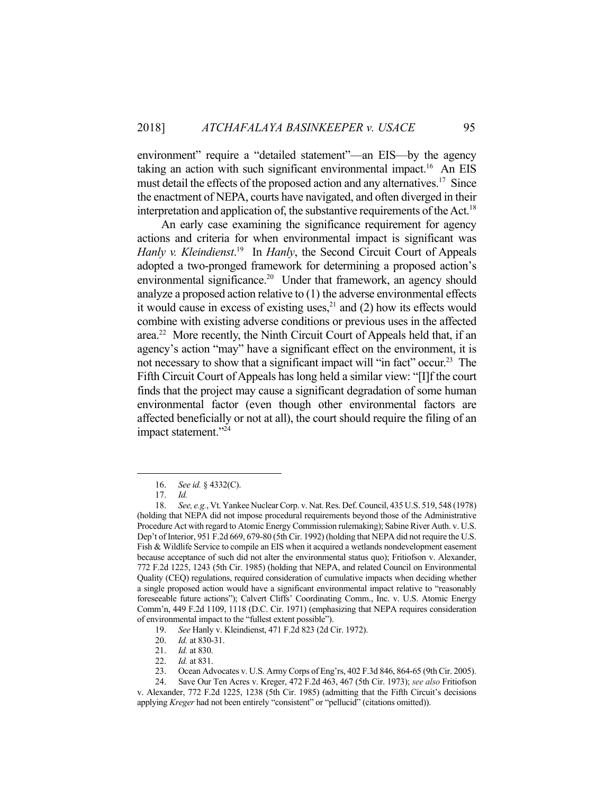environment" require a "detailed statement"—an EIS—by the agency taking an action with such significant environmental impact.<sup>16</sup> An EIS must detail the effects of the proposed action and any alternatives.<sup>17</sup> Since the enactment of NEPA, courts have navigated, and often diverged in their interpretation and application of, the substantive requirements of the Act.<sup>18</sup>

 An early case examining the significance requirement for agency actions and criteria for when environmental impact is significant was Hanly v. Kleindienst.<sup>19</sup> In *Hanly*, the Second Circuit Court of Appeals adopted a two-pronged framework for determining a proposed action's environmental significance.<sup>20</sup> Under that framework, an agency should analyze a proposed action relative to (1) the adverse environmental effects it would cause in excess of existing uses, $21$  and (2) how its effects would combine with existing adverse conditions or previous uses in the affected area.22 More recently, the Ninth Circuit Court of Appeals held that, if an agency's action "may" have a significant effect on the environment, it is not necessary to show that a significant impact will "in fact" occur.<sup>23</sup> The Fifth Circuit Court of Appeals has long held a similar view: "[I]f the court finds that the project may cause a significant degradation of some human environmental factor (even though other environmental factors are affected beneficially or not at all), the court should require the filing of an impact statement."<sup>24</sup>

 <sup>16.</sup> *See id.* § 4332(C).

 <sup>17.</sup> *Id.*

 <sup>18.</sup> *See, e.g.*, Vt. Yankee Nuclear Corp. v. Nat. Res. Def. Council, 435 U.S. 519, 548 (1978) (holding that NEPA did not impose procedural requirements beyond those of the Administrative Procedure Act with regard to Atomic Energy Commission rulemaking); Sabine River Auth. v. U.S. Dep't of Interior, 951 F.2d 669, 679-80 (5th Cir. 1992) (holding that NEPA did not require the U.S. Fish & Wildlife Service to compile an EIS when it acquired a wetlands nondevelopment easement because acceptance of such did not alter the environmental status quo); Fritiofson v. Alexander, 772 F.2d 1225, 1243 (5th Cir. 1985) (holding that NEPA, and related Council on Environmental Quality (CEQ) regulations, required consideration of cumulative impacts when deciding whether a single proposed action would have a significant environmental impact relative to "reasonably foreseeable future actions"); Calvert Cliffs' Coordinating Comm., Inc. v. U.S. Atomic Energy Comm'n, 449 F.2d 1109, 1118 (D.C. Cir. 1971) (emphasizing that NEPA requires consideration of environmental impact to the "fullest extent possible").

 <sup>19.</sup> *See* Hanly v. Kleindienst, 471 F.2d 823 (2d Cir. 1972).

 <sup>20.</sup> *Id.* at 830-31.

 <sup>21.</sup> *Id.* at 830.

 <sup>22.</sup> *Id.* at 831.

 <sup>23.</sup> Ocean Advocates v. U.S. Army Corps of Eng'rs, 402 F.3d 846, 864-65 (9th Cir. 2005).

 <sup>24.</sup> Save Our Ten Acres v. Kreger, 472 F.2d 463, 467 (5th Cir. 1973); *see also* Fritiofson v. Alexander, 772 F.2d 1225, 1238 (5th Cir. 1985) (admitting that the Fifth Circuit's decisions applying *Kreger* had not been entirely "consistent" or "pellucid" (citations omitted)).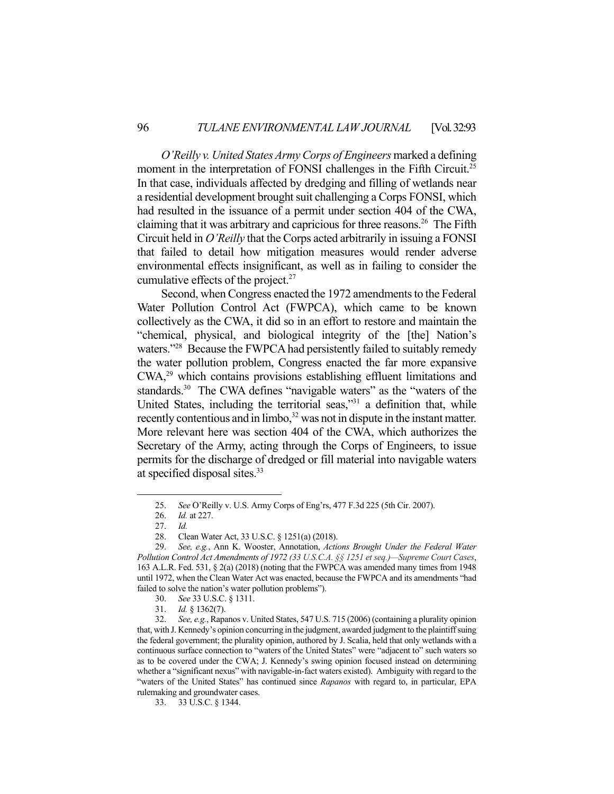*O'Reilly v. United States Army Corps of Engineers* marked a defining moment in the interpretation of FONSI challenges in the Fifth Circuit.<sup>25</sup> In that case, individuals affected by dredging and filling of wetlands near a residential development brought suit challenging a Corps FONSI, which had resulted in the issuance of a permit under section 404 of the CWA, claiming that it was arbitrary and capricious for three reasons. 26 The Fifth Circuit held in *O'Reilly* that the Corps acted arbitrarily in issuing a FONSI that failed to detail how mitigation measures would render adverse environmental effects insignificant, as well as in failing to consider the cumulative effects of the project.<sup>27</sup>

 Second, when Congress enacted the 1972 amendments to the Federal Water Pollution Control Act (FWPCA), which came to be known collectively as the CWA, it did so in an effort to restore and maintain the "chemical, physical, and biological integrity of the [the] Nation's waters."<sup>28</sup> Because the FWPCA had persistently failed to suitably remedy the water pollution problem, Congress enacted the far more expansive CWA,29 which contains provisions establishing effluent limitations and standards.<sup>30</sup> The CWA defines "navigable waters" as the "waters of the United States, including the territorial seas,"<sup>31</sup> a definition that, while recently contentious and in limbo,<sup>32</sup> was not in dispute in the instant matter. More relevant here was section 404 of the CWA, which authorizes the Secretary of the Army, acting through the Corps of Engineers, to issue permits for the discharge of dredged or fill material into navigable waters at specified disposal sites.33

 <sup>25.</sup> *See* O'Reilly v. U.S. Army Corps of Eng'rs, 477 F.3d 225 (5th Cir. 2007).

 <sup>26.</sup> *Id.* at 227.

 <sup>27.</sup> *Id.*

 <sup>28.</sup> Clean Water Act, 33 U.S.C. § 1251(a) (2018).

 <sup>29.</sup> *See, e.g.*, Ann K. Wooster, Annotation, *Actions Brought Under the Federal Water Pollution Control Act Amendments of 1972 (33 U.S.C.A. §§ 1251 et seq.)—Supreme Court Cases*, 163 A.L.R. Fed. 531, § 2(a) (2018) (noting that the FWPCA was amended many times from 1948 until 1972, when the Clean Water Act was enacted, because the FWPCA and its amendments "had failed to solve the nation's water pollution problems").

 <sup>30.</sup> *See* 33 U.S.C. § 1311.

 <sup>31.</sup> *Id.* § 1362(7).

 <sup>32.</sup> *See, e.g.*, Rapanos v. United States, 547 U.S. 715 (2006) (containing a plurality opinion that, with J. Kennedy's opinion concurring in the judgment, awarded judgment to the plaintiff suing the federal government; the plurality opinion, authored by J. Scalia, held that only wetlands with a continuous surface connection to "waters of the United States" were "adjacent to" such waters so as to be covered under the CWA; J. Kennedy's swing opinion focused instead on determining whether a "significant nexus" with navigable-in-fact waters existed). Ambiguity with regard to the "waters of the United States" has continued since *Rapanos* with regard to, in particular, EPA rulemaking and groundwater cases.

 <sup>33. 33</sup> U.S.C. § 1344.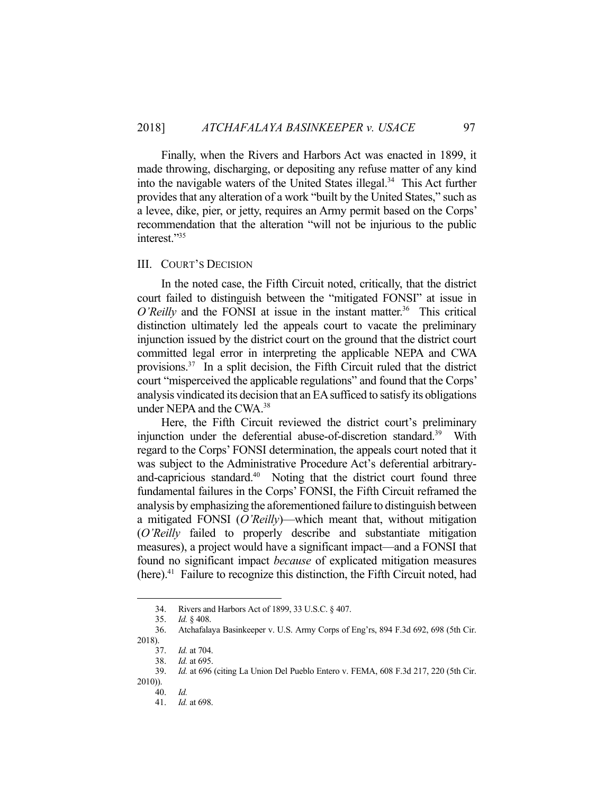Finally, when the Rivers and Harbors Act was enacted in 1899, it made throwing, discharging, or depositing any refuse matter of any kind into the navigable waters of the United States illegal. $34$  This Act further provides that any alteration of a work "built by the United States," such as a levee, dike, pier, or jetty, requires an Army permit based on the Corps' recommendation that the alteration "will not be injurious to the public interest."35

#### III. COURT'S DECISION

 In the noted case, the Fifth Circuit noted, critically, that the district court failed to distinguish between the "mitigated FONSI" at issue in *O'Reilly* and the FONSI at issue in the instant matter.<sup>36</sup> This critical distinction ultimately led the appeals court to vacate the preliminary injunction issued by the district court on the ground that the district court committed legal error in interpreting the applicable NEPA and CWA provisions.37 In a split decision, the Fifth Circuit ruled that the district court "misperceived the applicable regulations" and found that the Corps' analysis vindicated its decision that an EA sufficed to satisfy its obligations under NEPA and the CWA.38

 Here, the Fifth Circuit reviewed the district court's preliminary injunction under the deferential abuse-of-discretion standard.<sup>39</sup> With regard to the Corps' FONSI determination, the appeals court noted that it was subject to the Administrative Procedure Act's deferential arbitraryand-capricious standard.<sup>40</sup> Noting that the district court found three fundamental failures in the Corps' FONSI, the Fifth Circuit reframed the analysis by emphasizing the aforementioned failure to distinguish between a mitigated FONSI (*O'Reilly*)—which meant that, without mitigation (*O'Reilly* failed to properly describe and substantiate mitigation measures), a project would have a significant impact—and a FONSI that found no significant impact *because* of explicated mitigation measures  $(here).<sup>41</sup>$  Failure to recognize this distinction, the Fifth Circuit noted, had

 <sup>34.</sup> Rivers and Harbors Act of 1899, 33 U.S.C. § 407.

 <sup>35.</sup> *Id.* § 408.

 <sup>36.</sup> Atchafalaya Basinkeeper v. U.S. Army Corps of Eng'rs, 894 F.3d 692, 698 (5th Cir. 2018).

 <sup>37.</sup> *Id.* at 704.

 <sup>38.</sup> *Id.* at 695.

 <sup>39.</sup> *Id.* at 696 (citing La Union Del Pueblo Entero v. FEMA, 608 F.3d 217, 220 (5th Cir.

<sup>2010)).</sup>  40. *Id.* 

 <sup>41.</sup> *Id.* at 698.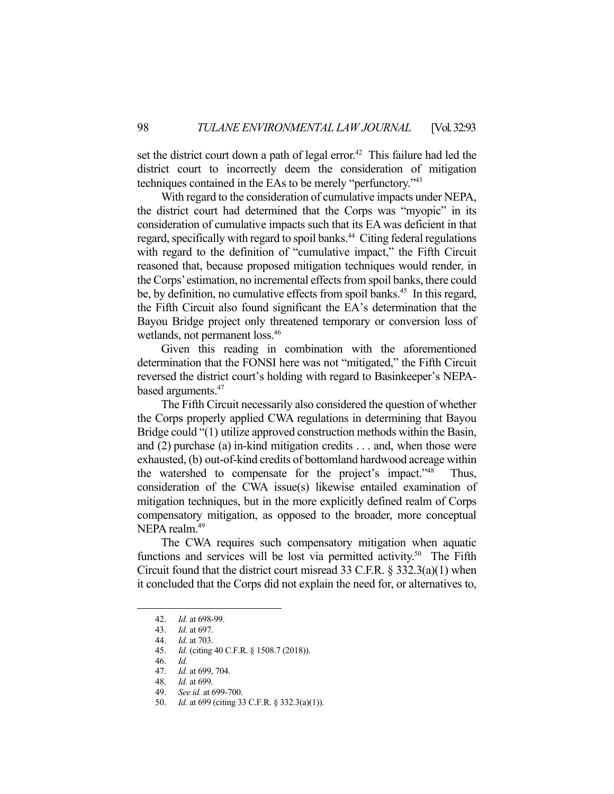set the district court down a path of legal error.<sup>42</sup> This failure had led the district court to incorrectly deem the consideration of mitigation techniques contained in the EAs to be merely "perfunctory."43

 With regard to the consideration of cumulative impacts under NEPA, the district court had determined that the Corps was "myopic" in its consideration of cumulative impacts such that its EA was deficient in that regard, specifically with regard to spoil banks.<sup>44</sup> Citing federal regulations with regard to the definition of "cumulative impact," the Fifth Circuit reasoned that, because proposed mitigation techniques would render, in the Corps' estimation, no incremental effects from spoil banks, there could be, by definition, no cumulative effects from spoil banks.<sup>45</sup> In this regard, the Fifth Circuit also found significant the EA's determination that the Bayou Bridge project only threatened temporary or conversion loss of wetlands, not permanent loss.<sup>46</sup>

 Given this reading in combination with the aforementioned determination that the FONSI here was not "mitigated," the Fifth Circuit reversed the district court's holding with regard to Basinkeeper's NEPAbased arguments.<sup>47</sup>

 The Fifth Circuit necessarily also considered the question of whether the Corps properly applied CWA regulations in determining that Bayou Bridge could "(1) utilize approved construction methods within the Basin, and (2) purchase (a) in-kind mitigation credits . . . and, when those were exhausted, (b) out-of-kind credits of bottomland hardwood acreage within the watershed to compensate for the project's impact."48 Thus, consideration of the CWA issue(s) likewise entailed examination of mitigation techniques, but in the more explicitly defined realm of Corps compensatory mitigation, as opposed to the broader, more conceptual NEPA realm.<sup>49</sup>

 The CWA requires such compensatory mitigation when aquatic functions and services will be lost via permitted activity.<sup>50</sup> The Fifth Circuit found that the district court misread 33 C.F.R. § 332.3(a)(1) when it concluded that the Corps did not explain the need for, or alternatives to,

 <sup>42.</sup> *Id.* at 698-99.

 <sup>43.</sup> *Id.* at 697.

 <sup>44.</sup> *Id.* at 703.

 <sup>45.</sup> *Id.* (citing 40 C.F.R. § 1508.7 (2018)).

 <sup>46.</sup> *Id.*

 <sup>47.</sup> *Id.* at 699, 704.

 <sup>48.</sup> *Id.* at 699.

 <sup>49.</sup> *See id.* at 699-700.

 <sup>50.</sup> *Id.* at 699 (citing 33 C.F.R. § 332.3(a)(1)).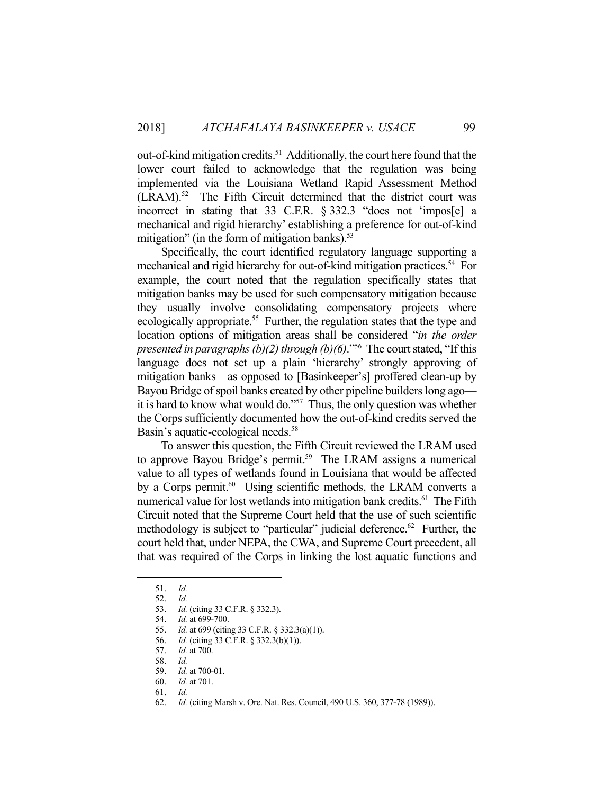out-of-kind mitigation credits.51 Additionally, the court here found that the lower court failed to acknowledge that the regulation was being implemented via the Louisiana Wetland Rapid Assessment Method  $(LRAM).<sup>52</sup>$  The Fifth Circuit determined that the district court was incorrect in stating that 33 C.F.R. § 332.3 "does not 'impos[e] a mechanical and rigid hierarchy' establishing a preference for out-of-kind mitigation" (in the form of mitigation banks). $53$ 

 Specifically, the court identified regulatory language supporting a mechanical and rigid hierarchy for out-of-kind mitigation practices.<sup>54</sup> For example, the court noted that the regulation specifically states that mitigation banks may be used for such compensatory mitigation because they usually involve consolidating compensatory projects where ecologically appropriate.<sup>55</sup> Further, the regulation states that the type and location options of mitigation areas shall be considered "*in the order presented in paragraphs (b)(2) through (b)(6)*."56 The court stated, "If this language does not set up a plain 'hierarchy' strongly approving of mitigation banks—as opposed to [Basinkeeper's] proffered clean-up by Bayou Bridge of spoil banks created by other pipeline builders long ago it is hard to know what would do."57 Thus, the only question was whether the Corps sufficiently documented how the out-of-kind credits served the Basin's aquatic-ecological needs.<sup>58</sup>

 To answer this question, the Fifth Circuit reviewed the LRAM used to approve Bayou Bridge's permit.<sup>59</sup> The LRAM assigns a numerical value to all types of wetlands found in Louisiana that would be affected by a Corps permit.<sup>60</sup> Using scientific methods, the LRAM converts a numerical value for lost wetlands into mitigation bank credits.<sup>61</sup> The Fifth Circuit noted that the Supreme Court held that the use of such scientific methodology is subject to "particular" judicial deference.<sup>62</sup> Further, the court held that, under NEPA, the CWA, and Supreme Court precedent, all that was required of the Corps in linking the lost aquatic functions and

 <sup>51.</sup> *Id.*

 <sup>52.</sup> *Id.*

 <sup>53.</sup> *Id.* (citing 33 C.F.R. § 332.3).

 <sup>54.</sup> *Id.* at 699-700.

 <sup>55.</sup> *Id.* at 699 (citing 33 C.F.R. § 332.3(a)(1)).

 <sup>56.</sup> *Id.* (citing 33 C.F.R. § 332.3(b)(1)).

 <sup>57.</sup> *Id.* at 700.

 <sup>58.</sup> *Id.*

 <sup>59.</sup> *Id.* at 700-01.

 <sup>60.</sup> *Id.* at 701.

 <sup>61.</sup> *Id.*

 <sup>62.</sup> *Id.* (citing Marsh v. Ore. Nat. Res. Council, 490 U.S. 360, 377-78 (1989)).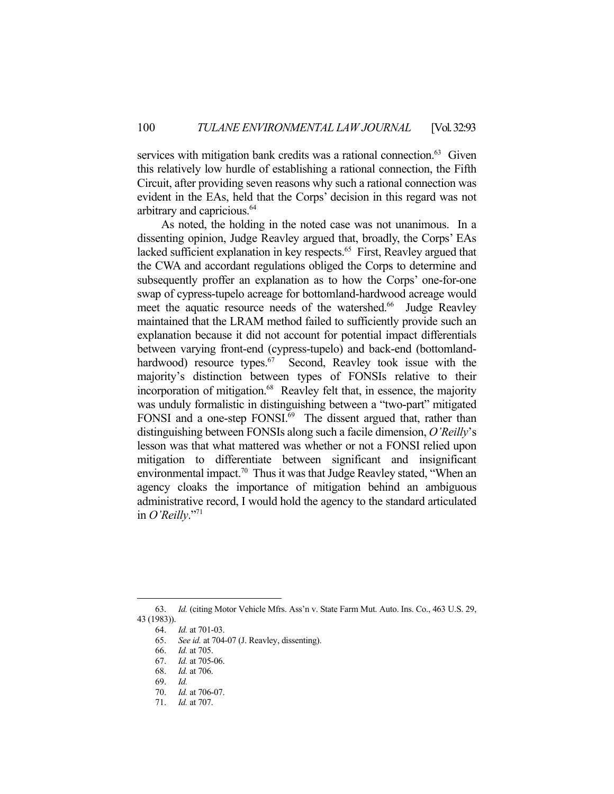services with mitigation bank credits was a rational connection.<sup>63</sup> Given this relatively low hurdle of establishing a rational connection, the Fifth Circuit, after providing seven reasons why such a rational connection was evident in the EAs, held that the Corps' decision in this regard was not arbitrary and capricious.64

 As noted, the holding in the noted case was not unanimous. In a dissenting opinion, Judge Reavley argued that, broadly, the Corps' EAs lacked sufficient explanation in key respects.<sup>65</sup> First, Reavley argued that the CWA and accordant regulations obliged the Corps to determine and subsequently proffer an explanation as to how the Corps' one-for-one swap of cypress-tupelo acreage for bottomland-hardwood acreage would meet the aquatic resource needs of the watershed.<sup>66</sup> Judge Reavley maintained that the LRAM method failed to sufficiently provide such an explanation because it did not account for potential impact differentials between varying front-end (cypress-tupelo) and back-end (bottomlandhardwood) resource types.<sup>67</sup> Second, Reavley took issue with the majority's distinction between types of FONSIs relative to their incorporation of mitigation.<sup>68</sup> Reavley felt that, in essence, the majority was unduly formalistic in distinguishing between a "two-part" mitigated FONSI and a one-step FONSI.<sup>69</sup> The dissent argued that, rather than distinguishing between FONSIs along such a facile dimension, *O'Reilly*'s lesson was that what mattered was whether or not a FONSI relied upon mitigation to differentiate between significant and insignificant environmental impact.<sup>70</sup> Thus it was that Judge Reavley stated, "When an agency cloaks the importance of mitigation behind an ambiguous administrative record, I would hold the agency to the standard articulated in *O'Reilly*."71

 <sup>63.</sup> *Id.* (citing Motor Vehicle Mfrs. Ass'n v. State Farm Mut. Auto. Ins. Co., 463 U.S. 29, 43 (1983)).

 <sup>64.</sup> *Id.* at 701-03.

 <sup>65.</sup> *See id.* at 704-07 (J. Reavley, dissenting).

 <sup>66.</sup> *Id.* at 705.

 <sup>67.</sup> *Id.* at 705-06.

 <sup>68.</sup> *Id.* at 706.

 <sup>69.</sup> *Id.*

 <sup>70.</sup> *Id.* at 706-07.

 <sup>71.</sup> *Id.* at 707.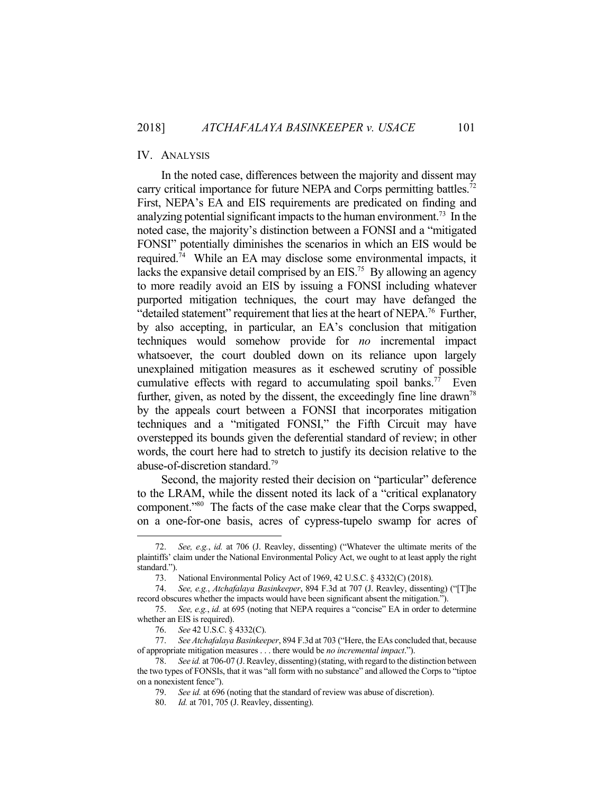# IV. ANALYSIS

 In the noted case, differences between the majority and dissent may carry critical importance for future NEPA and Corps permitting battles.<sup>72</sup> First, NEPA's EA and EIS requirements are predicated on finding and analyzing potential significant impacts to the human environment.<sup>73</sup> In the noted case, the majority's distinction between a FONSI and a "mitigated FONSI" potentially diminishes the scenarios in which an EIS would be required.74 While an EA may disclose some environmental impacts, it lacks the expansive detail comprised by an EIS.<sup>75</sup> By allowing an agency to more readily avoid an EIS by issuing a FONSI including whatever purported mitigation techniques, the court may have defanged the "detailed statement" requirement that lies at the heart of NEPA.<sup>76</sup> Further, by also accepting, in particular, an EA's conclusion that mitigation techniques would somehow provide for *no* incremental impact whatsoever, the court doubled down on its reliance upon largely unexplained mitigation measures as it eschewed scrutiny of possible cumulative effects with regard to accumulating spoil banks.<sup>77</sup> Even further, given, as noted by the dissent, the exceedingly fine line drawn<sup>78</sup> by the appeals court between a FONSI that incorporates mitigation techniques and a "mitigated FONSI," the Fifth Circuit may have overstepped its bounds given the deferential standard of review; in other words, the court here had to stretch to justify its decision relative to the abuse-of-discretion standard.79

Second, the majority rested their decision on "particular" deference to the LRAM, while the dissent noted its lack of a "critical explanatory component."80 The facts of the case make clear that the Corps swapped, on a one-for-one basis, acres of cypress-tupelo swamp for acres of

 <sup>72.</sup> *See, e.g.*, *id.* at 706 (J. Reavley, dissenting) ("Whatever the ultimate merits of the plaintiffs' claim under the National Environmental Policy Act, we ought to at least apply the right standard.").

 <sup>73.</sup> National Environmental Policy Act of 1969, 42 U.S.C. § 4332(C) (2018).

 <sup>74.</sup> *See, e.g.*, *Atchafalaya Basinkeeper*, 894 F.3d at 707 (J. Reavley, dissenting) ("[T]he record obscures whether the impacts would have been significant absent the mitigation.").

 <sup>75.</sup> *See, e.g.*, *id.* at 695 (noting that NEPA requires a "concise" EA in order to determine whether an EIS is required).

 <sup>76.</sup> *See* 42 U.S.C. § 4332(C).

 <sup>77.</sup> *See Atchafalaya Basinkeeper*, 894 F.3d at 703 ("Here, the EAs concluded that, because of appropriate mitigation measures . . . there would be *no incremental impact*.").

 <sup>78.</sup> *See id.* at 706-07 (J. Reavley, dissenting) (stating, with regard to the distinction between the two types of FONSIs, that it was "all form with no substance" and allowed the Corps to "tiptoe on a nonexistent fence").

 <sup>79.</sup> *See id.* at 696 (noting that the standard of review was abuse of discretion).

 <sup>80.</sup> *Id.* at 701, 705 (J. Reavley, dissenting).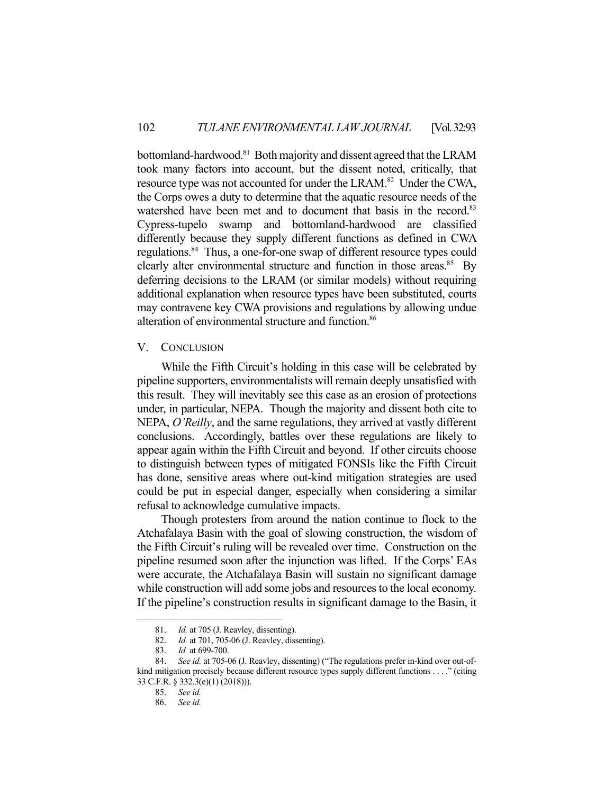bottomland-hardwood.<sup>81</sup> Both majority and dissent agreed that the LRAM took many factors into account, but the dissent noted, critically, that resource type was not accounted for under the LRAM.<sup>82</sup> Under the CWA, the Corps owes a duty to determine that the aquatic resource needs of the watershed have been met and to document that basis in the record.<sup>83</sup> Cypress-tupelo swamp and bottomland-hardwood are classified differently because they supply different functions as defined in CWA regulations.84 Thus, a one-for-one swap of different resource types could clearly alter environmental structure and function in those areas.<sup>85</sup> By deferring decisions to the LRAM (or similar models) without requiring additional explanation when resource types have been substituted, courts may contravene key CWA provisions and regulations by allowing undue alteration of environmental structure and function.<sup>86</sup>

# V. CONCLUSION

 While the Fifth Circuit's holding in this case will be celebrated by pipeline supporters, environmentalists will remain deeply unsatisfied with this result. They will inevitably see this case as an erosion of protections under, in particular, NEPA. Though the majority and dissent both cite to NEPA, *O'Reilly*, and the same regulations, they arrived at vastly different conclusions. Accordingly, battles over these regulations are likely to appear again within the Fifth Circuit and beyond. If other circuits choose to distinguish between types of mitigated FONSIs like the Fifth Circuit has done, sensitive areas where out-kind mitigation strategies are used could be put in especial danger, especially when considering a similar refusal to acknowledge cumulative impacts.

 Though protesters from around the nation continue to flock to the Atchafalaya Basin with the goal of slowing construction, the wisdom of the Fifth Circuit's ruling will be revealed over time. Construction on the pipeline resumed soon after the injunction was lifted. If the Corps' EAs were accurate, the Atchafalaya Basin will sustain no significant damage while construction will add some jobs and resources to the local economy. If the pipeline's construction results in significant damage to the Basin, it

<u>.</u>

 <sup>81.</sup> *Id.* at 705 (J. Reavley, dissenting).

 <sup>82.</sup> *Id.* at 701, 705-06 (J. Reavley, dissenting).

 <sup>83.</sup> *Id.* at 699-700.

 <sup>84.</sup> *See id.* at 705-06 (J. Reavley, dissenting) ("The regulations prefer in-kind over out-ofkind mitigation precisely because different resource types supply different functions . . . ." (citing 33 C.F.R. § 332.3(e)(1) (2018))).

 <sup>85.</sup> *See id.*

 <sup>86.</sup> *See id.*